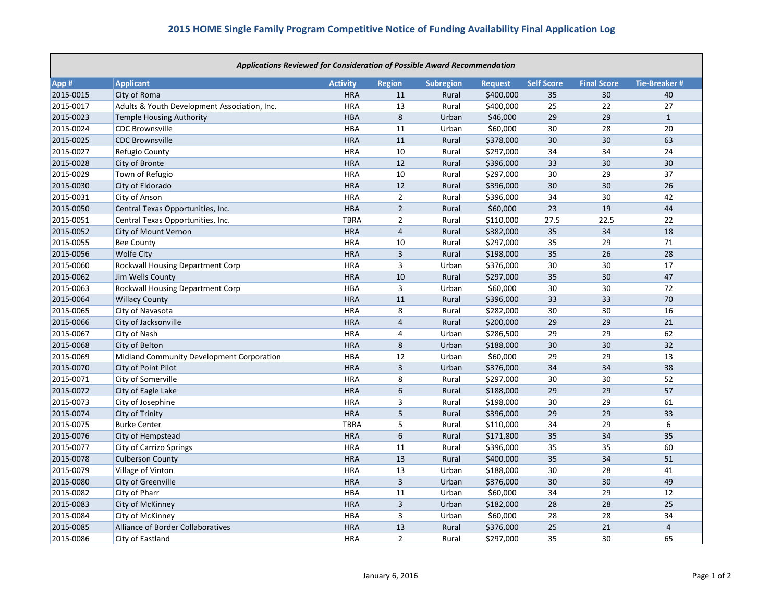| <b>Applications Reviewed for Consideration of Possible Award Recommendation</b> |                                              |                 |                         |                  |                |                   |                    |                     |
|---------------------------------------------------------------------------------|----------------------------------------------|-----------------|-------------------------|------------------|----------------|-------------------|--------------------|---------------------|
| App #                                                                           | Applicant                                    | <b>Activity</b> | <b>Region</b>           | <b>Subregion</b> | <b>Request</b> | <b>Self Score</b> | <b>Final Score</b> | <b>Tie-Breaker#</b> |
| 2015-0015                                                                       | City of Roma                                 | <b>HRA</b>      | 11                      | Rural            | \$400,000      | 35                | 30                 | 40                  |
| 2015-0017                                                                       | Adults & Youth Development Association, Inc. | <b>HRA</b>      | 13                      | Rural            | \$400,000      | 25                | 22                 | 27                  |
| 2015-0023                                                                       | <b>Temple Housing Authority</b>              | <b>HBA</b>      | 8                       | Urban            | \$46,000       | 29                | 29                 | $\mathbf{1}$        |
| 2015-0024                                                                       | <b>CDC Brownsville</b>                       | <b>HBA</b>      | 11                      | Urban            | \$60,000       | 30                | 28                 | 20                  |
| 2015-0025                                                                       | <b>CDC Brownsville</b>                       | <b>HRA</b>      | 11                      | Rural            | \$378,000      | 30                | 30                 | 63                  |
| 2015-0027                                                                       | Refugio County                               | <b>HRA</b>      | 10                      | Rural            | \$297,000      | 34                | 34                 | 24                  |
| 2015-0028                                                                       | City of Bronte                               | <b>HRA</b>      | 12                      | Rural            | \$396,000      | 33                | 30                 | 30                  |
| 2015-0029                                                                       | Town of Refugio                              | <b>HRA</b>      | 10                      | Rural            | \$297,000      | 30                | 29                 | 37                  |
| 2015-0030                                                                       | City of Eldorado                             | <b>HRA</b>      | 12                      | Rural            | \$396,000      | 30                | 30                 | 26                  |
| 2015-0031                                                                       | City of Anson                                | <b>HRA</b>      | $\overline{2}$          | Rural            | \$396,000      | 34                | 30                 | 42                  |
| 2015-0050                                                                       | Central Texas Opportunities, Inc.            | <b>HBA</b>      | $\overline{2}$          | Rural            | \$60,000       | 23                | 19                 | 44                  |
| 2015-0051                                                                       | Central Texas Opportunities, Inc.            | <b>TBRA</b>     | $\overline{2}$          | Rural            | \$110,000      | 27.5              | 22.5               | 22                  |
| 2015-0052                                                                       | City of Mount Vernon                         | <b>HRA</b>      | $\overline{4}$          | Rural            | \$382,000      | 35                | 34                 | 18                  |
| 2015-0055                                                                       | <b>Bee County</b>                            | <b>HRA</b>      | 10                      | Rural            | \$297,000      | 35                | 29                 | 71                  |
| 2015-0056                                                                       | <b>Wolfe City</b>                            | <b>HRA</b>      | 3                       | Rural            | \$198,000      | 35                | 26                 | 28                  |
| 2015-0060                                                                       | Rockwall Housing Department Corp             | <b>HRA</b>      | 3                       | Urban            | \$376,000      | 30                | 30                 | 17                  |
| 2015-0062                                                                       | Jim Wells County                             | <b>HRA</b>      | 10                      | Rural            | \$297,000      | 35                | 30                 | 47                  |
| 2015-0063                                                                       | Rockwall Housing Department Corp             | <b>HBA</b>      | 3                       | Urban            | \$60,000       | 30                | 30                 | 72                  |
| 2015-0064                                                                       | <b>Willacy County</b>                        | <b>HRA</b>      | 11                      | Rural            | \$396,000      | 33                | 33                 | 70                  |
| 2015-0065                                                                       | City of Navasota                             | <b>HRA</b>      | 8                       | Rural            | \$282,000      | 30                | 30                 | 16                  |
| 2015-0066                                                                       | City of Jacksonville                         | <b>HRA</b>      | $\overline{4}$          | Rural            | \$200,000      | 29                | 29                 | 21                  |
| 2015-0067                                                                       | City of Nash                                 | <b>HRA</b>      | $\overline{4}$          | Urban            | \$286,500      | 29                | 29                 | 62                  |
| 2015-0068                                                                       | City of Belton                               | <b>HRA</b>      | 8                       | Urban            | \$188,000      | 30                | 30                 | 32                  |
| 2015-0069                                                                       | Midland Community Development Corporation    | <b>HBA</b>      | 12                      | Urban            | \$60,000       | 29                | 29                 | 13                  |
| 2015-0070                                                                       | City of Point Pilot                          | <b>HRA</b>      | $\overline{3}$          | Urban            | \$376,000      | 34                | 34                 | 38                  |
| 2015-0071                                                                       | City of Somerville                           | <b>HRA</b>      | 8                       | Rural            | \$297,000      | 30                | 30                 | 52                  |
| 2015-0072                                                                       | City of Eagle Lake                           | <b>HRA</b>      | 6                       | Rural            | \$188,000      | 29                | 29                 | 57                  |
| 2015-0073                                                                       | City of Josephine                            | <b>HRA</b>      | 3                       | Rural            | \$198,000      | 30                | 29                 | 61                  |
| 2015-0074                                                                       | <b>City of Trinity</b>                       | <b>HRA</b>      | 5                       | Rural            | \$396,000      | 29                | 29                 | 33                  |
| 2015-0075                                                                       | <b>Burke Center</b>                          | <b>TBRA</b>     | 5                       | Rural            | \$110,000      | 34                | 29                 | 6                   |
| 2015-0076                                                                       | City of Hempstead                            | <b>HRA</b>      | 6                       | Rural            | \$171,800      | 35                | 34                 | 35                  |
| 2015-0077                                                                       | <b>City of Carrizo Springs</b>               | <b>HRA</b>      | 11                      | Rural            | \$396,000      | 35                | 35                 | 60                  |
| 2015-0078                                                                       | <b>Culberson County</b>                      | <b>HRA</b>      | 13                      | Rural            | \$400,000      | 35                | 34                 | 51                  |
| 2015-0079                                                                       | Village of Vinton                            | <b>HRA</b>      | 13                      | Urban            | \$188,000      | 30                | 28                 | 41                  |
| 2015-0080                                                                       | City of Greenville                           | <b>HRA</b>      | 3                       | Urban            | \$376,000      | 30                | 30                 | 49                  |
| 2015-0082                                                                       | City of Pharr                                | <b>HBA</b>      | 11                      | Urban            | \$60,000       | 34                | 29                 | 12                  |
| 2015-0083                                                                       | City of McKinney                             | <b>HRA</b>      | $\overline{\mathbf{3}}$ | Urban            | \$182,000      | 28                | 28                 | 25                  |
| 2015-0084                                                                       | City of McKinney                             | <b>HBA</b>      | 3                       | Urban            | \$60,000       | 28                | 28                 | 34                  |
| 2015-0085                                                                       | Alliance of Border Collaboratives            | <b>HRA</b>      | 13                      | Rural            | \$376,000      | 25                | 21                 | $\overline{4}$      |
| 2015-0086                                                                       | City of Eastland                             | <b>HRA</b>      | $\overline{2}$          | Rural            | \$297,000      | 35                | 30                 | 65                  |